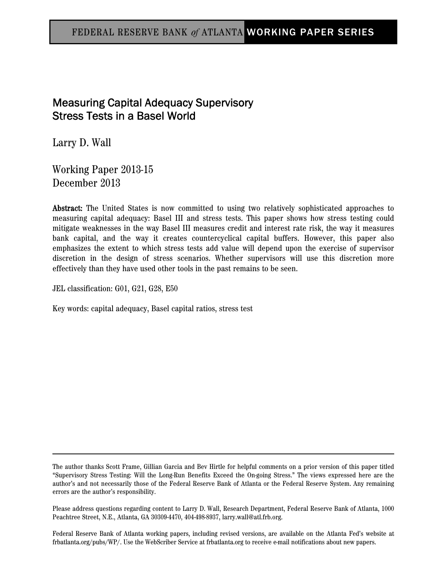# FEDERAL RESERVE BANK o*f* ATLANTA WORKING PAPER SERIES

# Measuring Capital Adequacy Supervisory Stress Tests in a Basel World

Larry D. Wall

Working Paper 2013-15 December 2013

Abstract: The United States is now committed to using two relatively sophisticated approaches to measuring capital adequacy: Basel III and stress tests. This paper shows how stress testing could mitigate weaknesses in the way Basel III measures credit and interest rate risk, the way it measures bank capital, and the way it creates countercyclical capital buffers. However, this paper also emphasizes the extent to which stress tests add value will depend upon the exercise of supervisor discretion in the design of stress scenarios. Whether supervisors will use this discretion more effectively than they have used other tools in the past remains to be seen.

JEL classification: G01, G21, G28, E50

Key words: capital adequacy, Basel capital ratios, stress test

The author thanks Scott Frame, Gillian Garcia and Bev Hirtle for helpful comments on a prior version of this paper titled "Supervisory Stress Testing: Will the Long-Run Benefits Exceed the On-going Stress." The views expressed here are the author's and not necessarily those of the Federal Reserve Bank of Atlanta or the Federal Reserve System. Any remaining errors are the author's responsibility.

Please address questions regarding content to Larry D. Wall, Research Department, Federal Reserve Bank of Atlanta, 1000 Peachtree Street, N.E., Atlanta, GA 30309-4470, 404-498-8937, larry.wall@atl.frb.org.

Federal Reserve Bank of Atlanta working papers, including revised versions, are available on the Atlanta Fed's website at frbatlanta.org/pubs/WP/. Use the WebScriber Service at frbatlanta.org to receive e-mail notifications about new papers.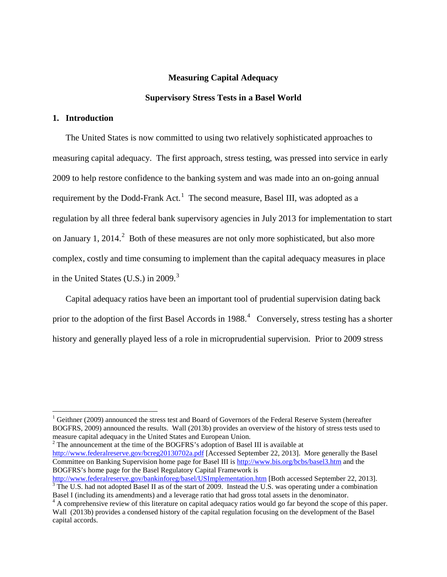#### **Measuring Capital Adequacy**

#### **Supervisory Stress Tests in a Basel World**

## **1. Introduction**

 $\overline{a}$ 

The United States is now committed to using two relatively sophisticated approaches to measuring capital adequacy. The first approach, stress testing, was pressed into service in early 2009 to help restore confidence to the banking system and was made into an on-going annual requirement by the Dodd-Frank Act.<sup>[1](#page-1-0)</sup> The second measure, Basel III, was adopted as a regulation by all three federal bank supervisory agencies in July 2013 for implementation to start on January 1, [2](#page-1-1)014.<sup>2</sup> Both of these measures are not only more sophisticated, but also more complex, costly and time consuming to implement than the capital adequacy measures in place in the United States (U.S.) in  $2009<sup>3</sup>$  $2009<sup>3</sup>$  $2009<sup>3</sup>$ 

Capital adequacy ratios have been an important tool of prudential supervision dating back prior to the adoption of the first Basel Accords in  $1988.<sup>4</sup>$  $1988.<sup>4</sup>$  $1988.<sup>4</sup>$  Conversely, stress testing has a shorter history and generally played less of a role in microprudential supervision. Prior to 2009 stress

<span id="page-1-1"></span><sup>2</sup> The announcement at the time of the BOGFRS's adoption of Basel III is available at <http://www.federalreserve.gov/bcreg20130702a.pdf> [Accessed September 22, 2013]. More generally the Basel Committee on Banking Supervision home page for Basel III i[s http://www.bis.org/bcbs/basel3.htm](http://www.bis.org/bcbs/basel3.htm) and the BOGFRS's home page for the Basel Regulatory Capital Framework is<br>http://www.federalreserve.gov/bankinforeg/basel/USImplementation.htm [Both accessed September 22, 2013].

<span id="page-1-0"></span><sup>&</sup>lt;sup>1</sup> Geithner (2009) announced the stress test and Board of Governors of the Federal Reserve System (hereafter BOGFRS, 2009) announced the results. Wall (2013b) provides an overview of the history of stress tests used to measure capital adequacy in the United States and European Union.

<span id="page-1-2"></span> $\frac{3}{3}$  $\frac{3}{3}$  $\frac{3}{3}$ The U.S. had not adopted Basel II as of the start of 2009. Instead the U.S. was operating under a combination Basel I (including its amendments) and a leverage ratio that had gross total assets in the denominator.

<span id="page-1-3"></span> $4 \text{ A comprehensive review of this literature on capital adequacy ratios would go far beyond the scope of this paper.}$ Wall (2013b) provides a condensed history of the capital regulation focusing on the development of the Basel capital accords.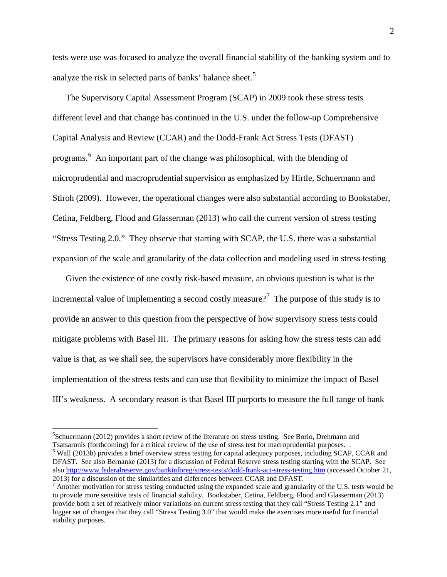tests were use was focused to analyze the overall financial stability of the banking system and to analyze the risk in selected parts of banks' balance sheet.<sup>[5](#page-2-0)</sup>

The Supervisory Capital Assessment Program (SCAP) in 2009 took these stress tests different level and that change has continued in the U.S. under the follow-up Comprehensive Capital Analysis and Review (CCAR) and the Dodd-Frank Act Stress Tests (DFAST) programs. [6](#page-2-1) An important part of the change was philosophical, with the blending of microprudential and macroprudential supervision as emphasized by Hirtle, Schuermann and Stiroh (2009). However, the operational changes were also substantial according to Bookstaber, Cetina, Feldberg, Flood and Glasserman (2013) who call the current version of stress testing "Stress Testing 2.0." They observe that starting with SCAP, the U.S. there was a substantial expansion of the scale and granularity of the data collection and modeling used in stress testing

Given the existence of one costly risk-based measure, an obvious question is what is the incremental value of implementing a second costly measure?<sup>[7](#page-2-2)</sup> The purpose of this study is to provide an answer to this question from the perspective of how supervisory stress tests could mitigate problems with Basel III. The primary reasons for asking how the stress tests can add value is that, as we shall see, the supervisors have considerably more flexibility in the implementation of the stress tests and can use that flexibility to minimize the impact of Basel III's weakness. A secondary reason is that Basel III purports to measure the full range of bank

<span id="page-2-0"></span><sup>&</sup>lt;sup>5</sup>Schuermann (2012) provides a short review of the literature on stress testing. See Borio, Drehmann and Tsatsaronis (forthcoming) for a critical review of the use of stress test for macroprudential purposes. . <sup>6</sup> Wall (2013b) provides a brief overview stress testing for capital adequacy purposes, including SCAP, CCAR and

<span id="page-2-1"></span>DFAST. See also Bernanke (2013) for a discussion of Federal Reserve stress testing starting with the SCAP. See als[o http://www.federalreserve.gov/bankinforeg/stress-tests/dodd-frank-act-stress-testing.htm](http://www.federalreserve.gov/bankinforeg/stress-tests/dodd-frank-act-stress-testing.htm) (accessed October 21, 2013) for a discussion of the similarities and differences between CCAR and DFAST.

<span id="page-2-2"></span> $\frac{1}{2}$  Another motivation for stress testing conducted using the expanded scale and granularity of the U.S. tests would be to provide more sensitive tests of financial stability. Bookstaber, Cetina, Feldberg, Flood and Glasserman (2013) provide both a set of relatively minor variations on current stress testing that they call "Stress Testing 2.1" and bigger set of changes that they call "Stress Testing 3.0" that would make the exercises more useful for financial stability purposes.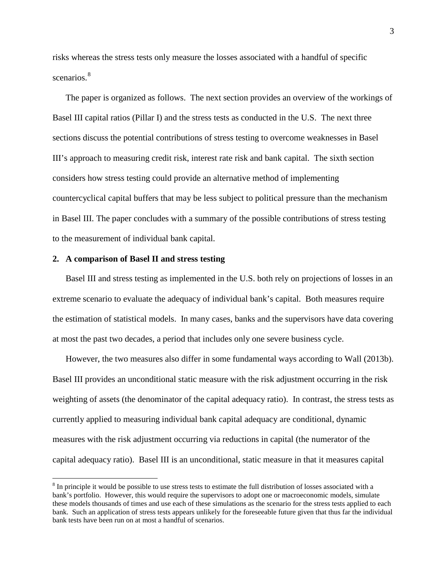risks whereas the stress tests only measure the losses associated with a handful of specific scenarios.<sup>[8](#page-3-0)</sup>

The paper is organized as follows. The next section provides an overview of the workings of Basel III capital ratios (Pillar I) and the stress tests as conducted in the U.S. The next three sections discuss the potential contributions of stress testing to overcome weaknesses in Basel III's approach to measuring credit risk, interest rate risk and bank capital. The sixth section considers how stress testing could provide an alternative method of implementing countercyclical capital buffers that may be less subject to political pressure than the mechanism in Basel III. The paper concludes with a summary of the possible contributions of stress testing to the measurement of individual bank capital.

#### **2. A comparison of Basel II and stress testing**

 $\overline{a}$ 

Basel III and stress testing as implemented in the U.S. both rely on projections of losses in an extreme scenario to evaluate the adequacy of individual bank's capital. Both measures require the estimation of statistical models. In many cases, banks and the supervisors have data covering at most the past two decades, a period that includes only one severe business cycle.

However, the two measures also differ in some fundamental ways according to Wall (2013b). Basel III provides an unconditional static measure with the risk adjustment occurring in the risk weighting of assets (the denominator of the capital adequacy ratio). In contrast, the stress tests as currently applied to measuring individual bank capital adequacy are conditional, dynamic measures with the risk adjustment occurring via reductions in capital (the numerator of the capital adequacy ratio). Basel III is an unconditional, static measure in that it measures capital

<span id="page-3-0"></span><sup>&</sup>lt;sup>8</sup> In principle it would be possible to use stress tests to estimate the full distribution of losses associated with a bank's portfolio. However, this would require the supervisors to adopt one or macroeconomic models, simulate these models thousands of times and use each of these simulations as the scenario for the stress tests applied to each bank. Such an application of stress tests appears unlikely for the foreseeable future given that thus far the individual bank tests have been run on at most a handful of scenarios.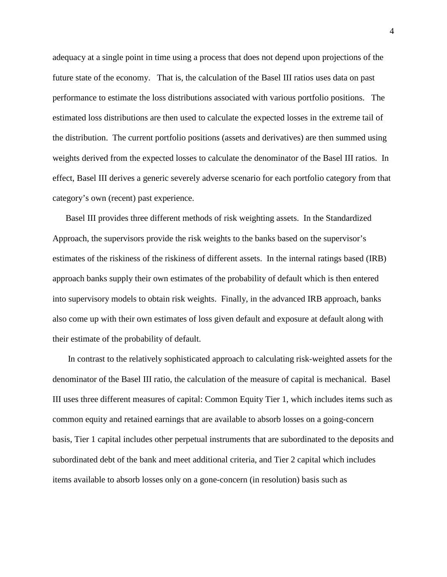adequacy at a single point in time using a process that does not depend upon projections of the future state of the economy. That is, the calculation of the Basel III ratios uses data on past performance to estimate the loss distributions associated with various portfolio positions. The estimated loss distributions are then used to calculate the expected losses in the extreme tail of the distribution. The current portfolio positions (assets and derivatives) are then summed using weights derived from the expected losses to calculate the denominator of the Basel III ratios. In effect, Basel III derives a generic severely adverse scenario for each portfolio category from that category's own (recent) past experience.

Basel III provides three different methods of risk weighting assets. In the Standardized Approach, the supervisors provide the risk weights to the banks based on the supervisor's estimates of the riskiness of the riskiness of different assets. In the internal ratings based (IRB) approach banks supply their own estimates of the probability of default which is then entered into supervisory models to obtain risk weights. Finally, in the advanced IRB approach, banks also come up with their own estimates of loss given default and exposure at default along with their estimate of the probability of default.

In contrast to the relatively sophisticated approach to calculating risk-weighted assets for the denominator of the Basel III ratio, the calculation of the measure of capital is mechanical. Basel III uses three different measures of capital: Common Equity Tier 1, which includes items such as common equity and retained earnings that are available to absorb losses on a going-concern basis, Tier 1 capital includes other perpetual instruments that are subordinated to the deposits and subordinated debt of the bank and meet additional criteria, and Tier 2 capital which includes items available to absorb losses only on a gone-concern (in resolution) basis such as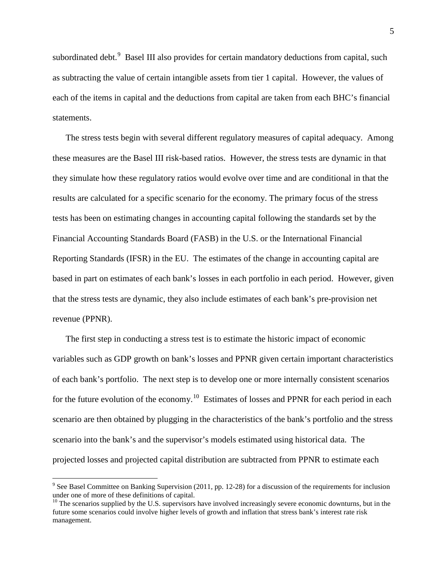subordinated debt.<sup>[9](#page-5-0)</sup> Basel III also provides for certain mandatory deductions from capital, such as subtracting the value of certain intangible assets from tier 1 capital. However, the values of each of the items in capital and the deductions from capital are taken from each BHC's financial statements.

The stress tests begin with several different regulatory measures of capital adequacy. Among these measures are the Basel III risk-based ratios. However, the stress tests are dynamic in that they simulate how these regulatory ratios would evolve over time and are conditional in that the results are calculated for a specific scenario for the economy. The primary focus of the stress tests has been on estimating changes in accounting capital following the standards set by the Financial Accounting Standards Board (FASB) in the U.S. or the International Financial Reporting Standards (IFSR) in the EU. The estimates of the change in accounting capital are based in part on estimates of each bank's losses in each portfolio in each period. However, given that the stress tests are dynamic, they also include estimates of each bank's pre-provision net revenue (PPNR).

The first step in conducting a stress test is to estimate the historic impact of economic variables such as GDP growth on bank's losses and PPNR given certain important characteristics of each bank's portfolio. The next step is to develop one or more internally consistent scenarios for the future evolution of the economy.<sup>10</sup> Estimates of losses and PPNR for each period in each scenario are then obtained by plugging in the characteristics of the bank's portfolio and the stress scenario into the bank's and the supervisor's models estimated using historical data. The projected losses and projected capital distribution are subtracted from PPNR to estimate each

<span id="page-5-0"></span> $9$  See Basel Committee on Banking Supervision (2011, pp. 12-28) for a discussion of the requirements for inclusion under one of more of these definitions of capital.

<span id="page-5-1"></span> $10$  The scenarios supplied by the U.S. supervisors have involved increasingly severe economic downturns, but in the future some scenarios could involve higher levels of growth and inflation that stress bank's interest rate risk management.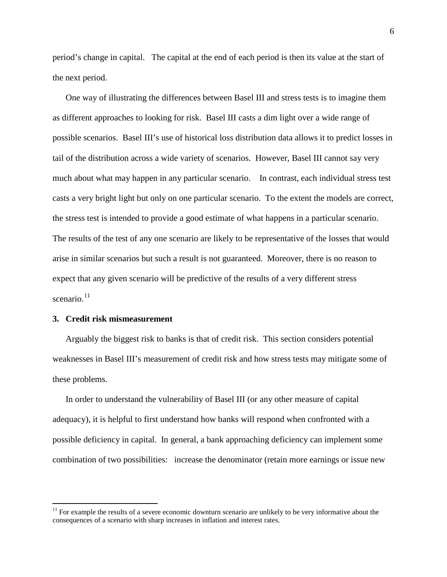period's change in capital. The capital at the end of each period is then its value at the start of the next period.

One way of illustrating the differences between Basel III and stress tests is to imagine them as different approaches to looking for risk. Basel III casts a dim light over a wide range of possible scenarios. Basel III's use of historical loss distribution data allows it to predict losses in tail of the distribution across a wide variety of scenarios. However, Basel III cannot say very much about what may happen in any particular scenario. In contrast, each individual stress test casts a very bright light but only on one particular scenario. To the extent the models are correct, the stress test is intended to provide a good estimate of what happens in a particular scenario. The results of the test of any one scenario are likely to be representative of the losses that would arise in similar scenarios but such a result is not guaranteed. Moreover, there is no reason to expect that any given scenario will be predictive of the results of a very different stress scenario. $11$ 

#### **3. Credit risk mismeasurement**

 $\overline{a}$ 

Arguably the biggest risk to banks is that of credit risk. This section considers potential weaknesses in Basel III's measurement of credit risk and how stress tests may mitigate some of these problems.

In order to understand the vulnerability of Basel III (or any other measure of capital adequacy), it is helpful to first understand how banks will respond when confronted with a possible deficiency in capital. In general, a bank approaching deficiency can implement some combination of two possibilities: increase the denominator (retain more earnings or issue new

<span id="page-6-0"></span> $11$  For example the results of a severe economic downturn scenario are unlikely to be very informative about the consequences of a scenario with sharp increases in inflation and interest rates.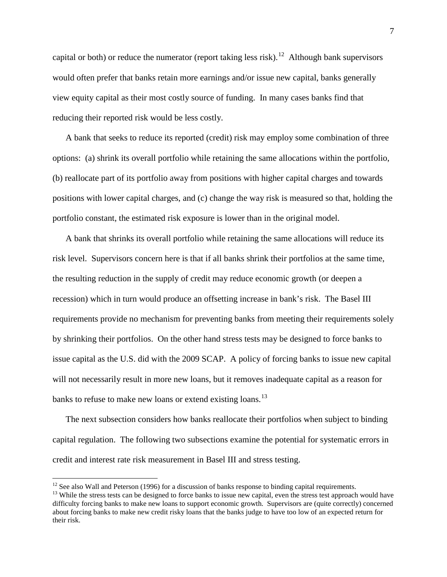capital or both) or reduce the numerator (report taking less risk).<sup>12</sup> Although bank supervisors would often prefer that banks retain more earnings and/or issue new capital, banks generally view equity capital as their most costly source of funding. In many cases banks find that reducing their reported risk would be less costly.

A bank that seeks to reduce its reported (credit) risk may employ some combination of three options: (a) shrink its overall portfolio while retaining the same allocations within the portfolio, (b) reallocate part of its portfolio away from positions with higher capital charges and towards positions with lower capital charges, and (c) change the way risk is measured so that, holding the portfolio constant, the estimated risk exposure is lower than in the original model.

A bank that shrinks its overall portfolio while retaining the same allocations will reduce its risk level. Supervisors concern here is that if all banks shrink their portfolios at the same time, the resulting reduction in the supply of credit may reduce economic growth (or deepen a recession) which in turn would produce an offsetting increase in bank's risk. The Basel III requirements provide no mechanism for preventing banks from meeting their requirements solely by shrinking their portfolios. On the other hand stress tests may be designed to force banks to issue capital as the U.S. did with the 2009 SCAP. A policy of forcing banks to issue new capital will not necessarily result in more new loans, but it removes inadequate capital as a reason for banks to refuse to make new loans or extend existing loans.<sup>[13](#page-7-1)</sup>

The next subsection considers how banks reallocate their portfolios when subject to binding capital regulation. The following two subsections examine the potential for systematic errors in credit and interest rate risk measurement in Basel III and stress testing.

<span id="page-7-0"></span> $12$  See also Wall and Peterson (1996) for a discussion of banks response to binding capital requirements.

<span id="page-7-1"></span><sup>&</sup>lt;sup>13</sup> While the stress tests can be designed to force banks to issue new capital, even the stress test approach would have difficulty forcing banks to make new loans to support economic growth. Supervisors are (quite correctly) concerned about forcing banks to make new credit risky loans that the banks judge to have too low of an expected return for their risk.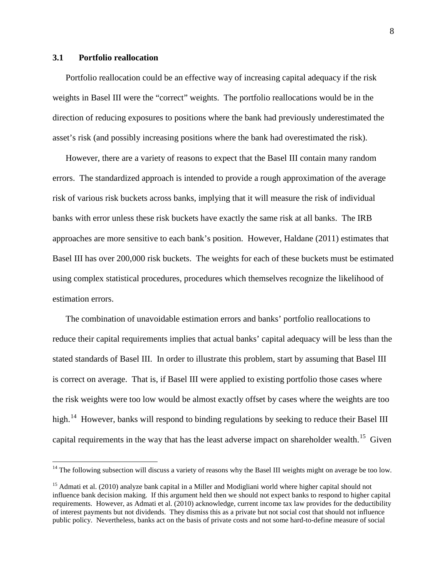### **3.1 Portfolio reallocation**

 $\overline{a}$ 

Portfolio reallocation could be an effective way of increasing capital adequacy if the risk weights in Basel III were the "correct" weights. The portfolio reallocations would be in the direction of reducing exposures to positions where the bank had previously underestimated the asset's risk (and possibly increasing positions where the bank had overestimated the risk).

However, there are a variety of reasons to expect that the Basel III contain many random errors. The standardized approach is intended to provide a rough approximation of the average risk of various risk buckets across banks, implying that it will measure the risk of individual banks with error unless these risk buckets have exactly the same risk at all banks. The IRB approaches are more sensitive to each bank's position. However, Haldane (2011) estimates that Basel III has over 200,000 risk buckets. The weights for each of these buckets must be estimated using complex statistical procedures, procedures which themselves recognize the likelihood of estimation errors.

The combination of unavoidable estimation errors and banks' portfolio reallocations to reduce their capital requirements implies that actual banks' capital adequacy will be less than the stated standards of Basel III. In order to illustrate this problem, start by assuming that Basel III is correct on average. That is, if Basel III were applied to existing portfolio those cases where the risk weights were too low would be almost exactly offset by cases where the weights are too high.<sup>[14](#page-8-0)</sup> However, banks will respond to binding regulations by seeking to reduce their Basel III capital requirements in the way that has the least adverse impact on shareholder wealth.<sup>[15](#page-8-1)</sup> Given

<span id="page-8-0"></span><sup>&</sup>lt;sup>14</sup> The following subsection will discuss a variety of reasons why the Basel III weights might on average be too low.

<span id="page-8-1"></span><sup>&</sup>lt;sup>15</sup> Admati et al. (2010) analyze bank capital in a Miller and Modigliani world where higher capital should not influence bank decision making. If this argument held then we should not expect banks to respond to higher capital requirements. However, as Admati et al. (2010) acknowledge, current income tax law provides for the deductibility of interest payments but not dividends. They dismiss this as a private but not social cost that should not influence public policy. Nevertheless, banks act on the basis of private costs and not some hard-to-define measure of social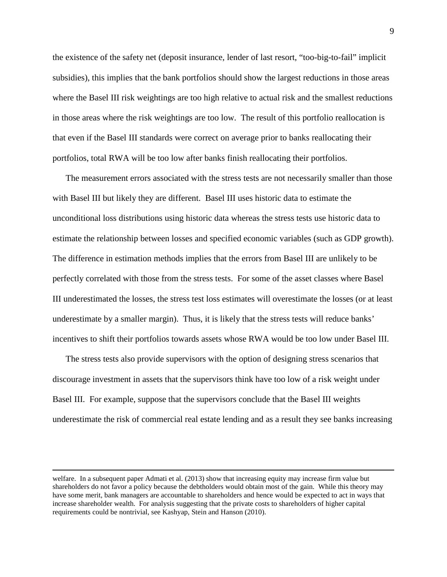the existence of the safety net (deposit insurance, lender of last resort, "too-big-to-fail" implicit subsidies), this implies that the bank portfolios should show the largest reductions in those areas where the Basel III risk weightings are too high relative to actual risk and the smallest reductions in those areas where the risk weightings are too low. The result of this portfolio reallocation is that even if the Basel III standards were correct on average prior to banks reallocating their portfolios, total RWA will be too low after banks finish reallocating their portfolios.

The measurement errors associated with the stress tests are not necessarily smaller than those with Basel III but likely they are different. Basel III uses historic data to estimate the unconditional loss distributions using historic data whereas the stress tests use historic data to estimate the relationship between losses and specified economic variables (such as GDP growth). The difference in estimation methods implies that the errors from Basel III are unlikely to be perfectly correlated with those from the stress tests. For some of the asset classes where Basel III underestimated the losses, the stress test loss estimates will overestimate the losses (or at least underestimate by a smaller margin). Thus, it is likely that the stress tests will reduce banks' incentives to shift their portfolios towards assets whose RWA would be too low under Basel III.

The stress tests also provide supervisors with the option of designing stress scenarios that discourage investment in assets that the supervisors think have too low of a risk weight under Basel III. For example, suppose that the supervisors conclude that the Basel III weights underestimate the risk of commercial real estate lending and as a result they see banks increasing

welfare. In a subsequent paper Admati et al. (2013) show that increasing equity may increase firm value but shareholders do not favor a policy because the debtholders would obtain most of the gain. While this theory may have some merit, bank managers are accountable to shareholders and hence would be expected to act in ways that increase shareholder wealth. For analysis suggesting that the private costs to shareholders of higher capital requirements could be nontrivial, see Kashyap, Stein and Hanson (2010).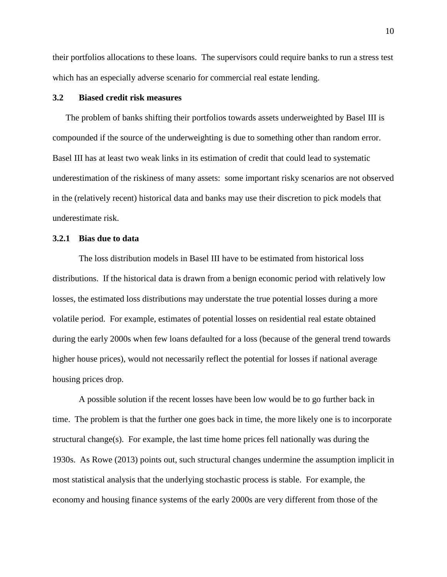their portfolios allocations to these loans. The supervisors could require banks to run a stress test which has an especially adverse scenario for commercial real estate lending.

#### **3.2 Biased credit risk measures**

The problem of banks shifting their portfolios towards assets underweighted by Basel III is compounded if the source of the underweighting is due to something other than random error. Basel III has at least two weak links in its estimation of credit that could lead to systematic underestimation of the riskiness of many assets: some important risky scenarios are not observed in the (relatively recent) historical data and banks may use their discretion to pick models that underestimate risk.

#### **3.2.1 Bias due to data**

The loss distribution models in Basel III have to be estimated from historical loss distributions. If the historical data is drawn from a benign economic period with relatively low losses, the estimated loss distributions may understate the true potential losses during a more volatile period. For example, estimates of potential losses on residential real estate obtained during the early 2000s when few loans defaulted for a loss (because of the general trend towards higher house prices), would not necessarily reflect the potential for losses if national average housing prices drop.

A possible solution if the recent losses have been low would be to go further back in time. The problem is that the further one goes back in time, the more likely one is to incorporate structural change(s). For example, the last time home prices fell nationally was during the 1930s. As Rowe (2013) points out, such structural changes undermine the assumption implicit in most statistical analysis that the underlying stochastic process is stable. For example, the economy and housing finance systems of the early 2000s are very different from those of the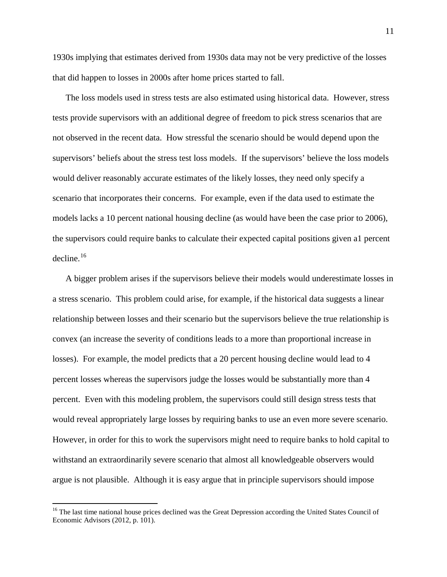1930s implying that estimates derived from 1930s data may not be very predictive of the losses that did happen to losses in 2000s after home prices started to fall.

The loss models used in stress tests are also estimated using historical data. However, stress tests provide supervisors with an additional degree of freedom to pick stress scenarios that are not observed in the recent data. How stressful the scenario should be would depend upon the supervisors' beliefs about the stress test loss models. If the supervisors' believe the loss models would deliver reasonably accurate estimates of the likely losses, they need only specify a scenario that incorporates their concerns. For example, even if the data used to estimate the models lacks a 10 percent national housing decline (as would have been the case prior to 2006), the supervisors could require banks to calculate their expected capital positions given a1 percent  $decline<sup>16</sup>$  $decline<sup>16</sup>$  $decline<sup>16</sup>$ 

A bigger problem arises if the supervisors believe their models would underestimate losses in a stress scenario. This problem could arise, for example, if the historical data suggests a linear relationship between losses and their scenario but the supervisors believe the true relationship is convex (an increase the severity of conditions leads to a more than proportional increase in losses). For example, the model predicts that a 20 percent housing decline would lead to 4 percent losses whereas the supervisors judge the losses would be substantially more than 4 percent. Even with this modeling problem, the supervisors could still design stress tests that would reveal appropriately large losses by requiring banks to use an even more severe scenario. However, in order for this to work the supervisors might need to require banks to hold capital to withstand an extraordinarily severe scenario that almost all knowledgeable observers would argue is not plausible. Although it is easy argue that in principle supervisors should impose

<span id="page-11-0"></span><sup>&</sup>lt;sup>16</sup> The last time national house prices declined was the Great Depression according the United States Council of Economic Advisors (2012, p. 101).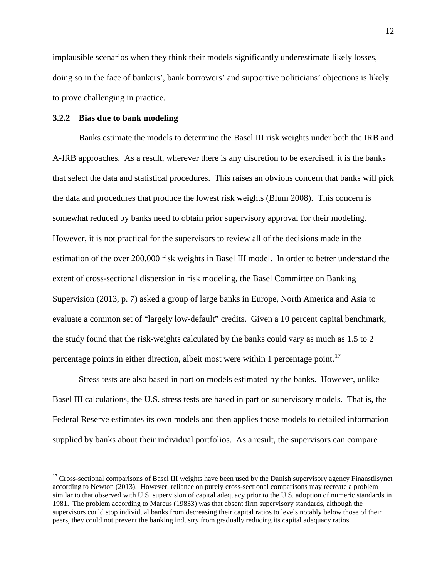implausible scenarios when they think their models significantly underestimate likely losses, doing so in the face of bankers', bank borrowers' and supportive politicians' objections is likely to prove challenging in practice.

#### **3.2.2 Bias due to bank modeling**

 $\overline{a}$ 

Banks estimate the models to determine the Basel III risk weights under both the IRB and A-IRB approaches. As a result, wherever there is any discretion to be exercised, it is the banks that select the data and statistical procedures. This raises an obvious concern that banks will pick the data and procedures that produce the lowest risk weights (Blum 2008). This concern is somewhat reduced by banks need to obtain prior supervisory approval for their modeling. However, it is not practical for the supervisors to review all of the decisions made in the estimation of the over 200,000 risk weights in Basel III model. In order to better understand the extent of cross-sectional dispersion in risk modeling, the Basel Committee on Banking Supervision (2013, p. 7) asked a group of large banks in Europe, North America and Asia to evaluate a common set of "largely low-default" credits. Given a 10 percent capital benchmark, the study found that the risk-weights calculated by the banks could vary as much as 1.5 to 2 percentage points in either direction, albeit most were within 1 percentage point.<sup>[17](#page-12-0)</sup>

Stress tests are also based in part on models estimated by the banks. However, unlike Basel III calculations, the U.S. stress tests are based in part on supervisory models. That is, the Federal Reserve estimates its own models and then applies those models to detailed information supplied by banks about their individual portfolios. As a result, the supervisors can compare

<span id="page-12-0"></span> $17$  Cross-sectional comparisons of Basel III weights have been used by the Danish supervisory agency Finanstilsynet according to Newton (2013). However, reliance on purely cross-sectional comparisons may recreate a problem similar to that observed with U.S. supervision of capital adequacy prior to the U.S. adoption of numeric standards in 1981. The problem according to Marcus (19833) was that absent firm supervisory standards, although the supervisors could stop individual banks from decreasing their capital ratios to levels notably below those of their peers, they could not prevent the banking industry from gradually reducing its capital adequacy ratios.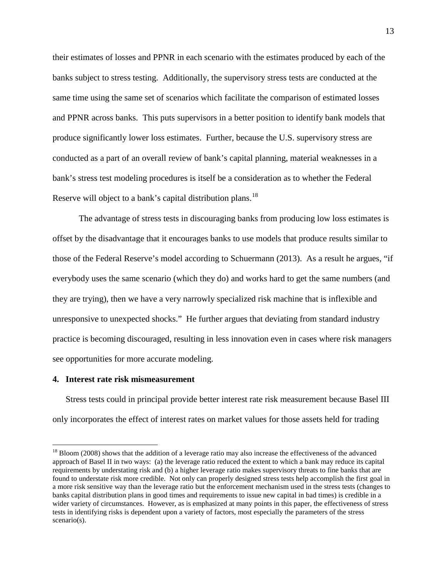their estimates of losses and PPNR in each scenario with the estimates produced by each of the banks subject to stress testing. Additionally, the supervisory stress tests are conducted at the same time using the same set of scenarios which facilitate the comparison of estimated losses and PPNR across banks. This puts supervisors in a better position to identify bank models that produce significantly lower loss estimates. Further, because the U.S. supervisory stress are conducted as a part of an overall review of bank's capital planning, material weaknesses in a bank's stress test modeling procedures is itself be a consideration as to whether the Federal Reserve will object to a bank's capital distribution plans.<sup>[18](#page-13-0)</sup>

The advantage of stress tests in discouraging banks from producing low loss estimates is offset by the disadvantage that it encourages banks to use models that produce results similar to those of the Federal Reserve's model according to Schuermann (2013). As a result he argues, "if everybody uses the same scenario (which they do) and works hard to get the same numbers (and they are trying), then we have a very narrowly specialized risk machine that is inflexible and unresponsive to unexpected shocks." He further argues that deviating from standard industry practice is becoming discouraged, resulting in less innovation even in cases where risk managers see opportunities for more accurate modeling.

#### **4. Interest rate risk mismeasurement**

 $\overline{a}$ 

Stress tests could in principal provide better interest rate risk measurement because Basel III only incorporates the effect of interest rates on market values for those assets held for trading

<span id="page-13-0"></span> $18$  Bloom (2008) shows that the addition of a leverage ratio may also increase the effectiveness of the advanced approach of Basel II in two ways: (a) the leverage ratio reduced the extent to which a bank may reduce its capital requirements by understating risk and (b) a higher leverage ratio makes supervisory threats to fine banks that are found to understate risk more credible. Not only can properly designed stress tests help accomplish the first goal in a more risk sensitive way than the leverage ratio but the enforcement mechanism used in the stress tests (changes to banks capital distribution plans in good times and requirements to issue new capital in bad times) is credible in a wider variety of circumstances. However, as is emphasized at many points in this paper, the effectiveness of stress tests in identifying risks is dependent upon a variety of factors, most especially the parameters of the stress scenario(s).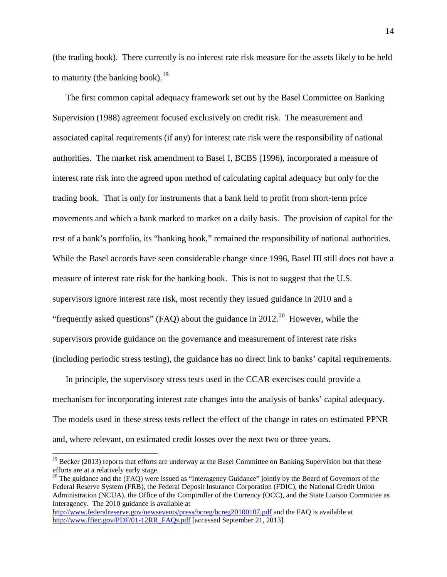(the trading book). There currently is no interest rate risk measure for the assets likely to be held to maturity (the banking book). $^{19}$  $^{19}$  $^{19}$ 

The first common capital adequacy framework set out by the Basel Committee on Banking Supervision (1988) agreement focused exclusively on credit risk. The measurement and associated capital requirements (if any) for interest rate risk were the responsibility of national authorities. The market risk amendment to Basel I, BCBS (1996), incorporated a measure of interest rate risk into the agreed upon method of calculating capital adequacy but only for the trading book. That is only for instruments that a bank held to profit from short-term price movements and which a bank marked to market on a daily basis. The provision of capital for the rest of a bank's portfolio, its "banking book," remained the responsibility of national authorities. While the Basel accords have seen considerable change since 1996, Basel III still does not have a measure of interest rate risk for the banking book. This is not to suggest that the U.S. supervisors ignore interest rate risk, most recently they issued guidance in 2010 and a "frequently asked questions" (FAQ) about the guidance in [20](#page-14-1)12.<sup>20</sup> However, while the supervisors provide guidance on the governance and measurement of interest rate risks (including periodic stress testing), the guidance has no direct link to banks' capital requirements.

In principle, the supervisory stress tests used in the CCAR exercises could provide a mechanism for incorporating interest rate changes into the analysis of banks' capital adequacy. The models used in these stress tests reflect the effect of the change in rates on estimated PPNR and, where relevant, on estimated credit losses over the next two or three years.

<span id="page-14-0"></span> $19$  Becker (2013) reports that efforts are underway at the Basel Committee on Banking Supervision but that these efforts are at a relatively early stage.

<span id="page-14-1"></span><sup>&</sup>lt;sup>20</sup> The guidance and the (FAQ) were issued as "Interagency Guidance" jointly by the Board of Governors of the Federal Reserve System (FRB), the Federal Deposit Insurance Corporation (FDIC), the National Credit Union Administration (NCUA), the Office of the Comptroller of the Currency (OCC), and the State Liaison Committee as Interagency. The 2010 guidance is available at

<http://www.federalreserve.gov/newsevents/press/bcreg/bcreg20100107.pdf> and the FAQ is available at [http://www.ffiec.gov/PDF/01-12RR\\_FAQs.pdf](http://www.ffiec.gov/PDF/01-12RR_FAQs.pdf) [accessed September 21, 2013].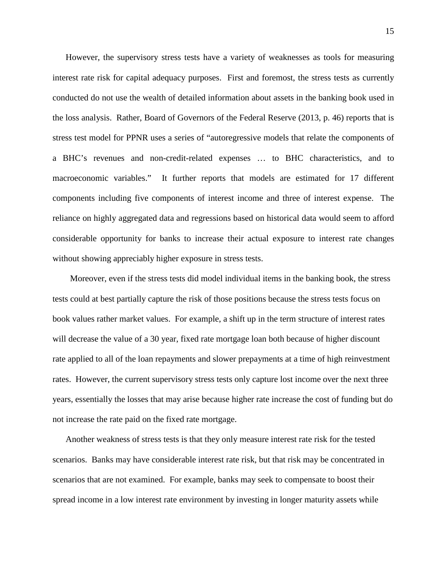However, the supervisory stress tests have a variety of weaknesses as tools for measuring interest rate risk for capital adequacy purposes. First and foremost, the stress tests as currently conducted do not use the wealth of detailed information about assets in the banking book used in the loss analysis. Rather, Board of Governors of the Federal Reserve (2013, p. 46) reports that is stress test model for PPNR uses a series of "autoregressive models that relate the components of a BHC's revenues and non-credit-related expenses … to BHC characteristics, and to macroeconomic variables." It further reports that models are estimated for 17 different components including five components of interest income and three of interest expense. The reliance on highly aggregated data and regressions based on historical data would seem to afford considerable opportunity for banks to increase their actual exposure to interest rate changes without showing appreciably higher exposure in stress tests.

 Moreover, even if the stress tests did model individual items in the banking book, the stress tests could at best partially capture the risk of those positions because the stress tests focus on book values rather market values. For example, a shift up in the term structure of interest rates will decrease the value of a 30 year, fixed rate mortgage loan both because of higher discount rate applied to all of the loan repayments and slower prepayments at a time of high reinvestment rates. However, the current supervisory stress tests only capture lost income over the next three years, essentially the losses that may arise because higher rate increase the cost of funding but do not increase the rate paid on the fixed rate mortgage.

Another weakness of stress tests is that they only measure interest rate risk for the tested scenarios. Banks may have considerable interest rate risk, but that risk may be concentrated in scenarios that are not examined. For example, banks may seek to compensate to boost their spread income in a low interest rate environment by investing in longer maturity assets while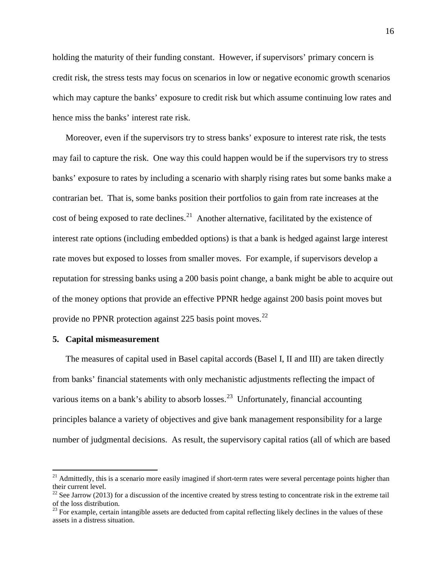holding the maturity of their funding constant. However, if supervisors' primary concern is credit risk, the stress tests may focus on scenarios in low or negative economic growth scenarios which may capture the banks' exposure to credit risk but which assume continuing low rates and hence miss the banks' interest rate risk.

Moreover, even if the supervisors try to stress banks' exposure to interest rate risk, the tests may fail to capture the risk. One way this could happen would be if the supervisors try to stress banks' exposure to rates by including a scenario with sharply rising rates but some banks make a contrarian bet. That is, some banks position their portfolios to gain from rate increases at the cost of being exposed to rate declines.<sup>21</sup> Another alternative, facilitated by the existence of interest rate options (including embedded options) is that a bank is hedged against large interest rate moves but exposed to losses from smaller moves. For example, if supervisors develop a reputation for stressing banks using a 200 basis point change, a bank might be able to acquire out of the money options that provide an effective PPNR hedge against 200 basis point moves but provide no PPNR protection against [22](#page-16-1)5 basis point moves.<sup>22</sup>

#### **5. Capital mismeasurement**

 $\overline{a}$ 

The measures of capital used in Basel capital accords (Basel I, II and III) are taken directly from banks' financial statements with only mechanistic adjustments reflecting the impact of various items on a bank's ability to absorb losses.<sup>23</sup> Unfortunately, financial accounting principles balance a variety of objectives and give bank management responsibility for a large number of judgmental decisions. As result, the supervisory capital ratios (all of which are based

<span id="page-16-0"></span><sup>&</sup>lt;sup>21</sup> Admittedly, this is a scenario more easily imagined if short-term rates were several percentage points higher than their current level.

<span id="page-16-1"></span> $22$  See Jarrow (2013) for a discussion of the incentive created by stress testing to concentrate risk in the extreme tail of the loss distribution.

<span id="page-16-2"></span> $23$  For example, certain intangible assets are deducted from capital reflecting likely declines in the values of these assets in a distress situation.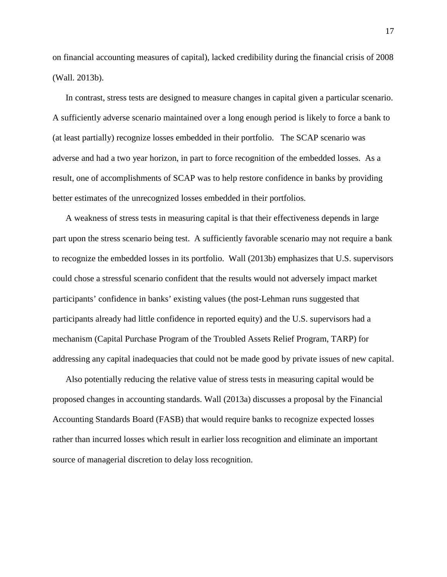on financial accounting measures of capital), lacked credibility during the financial crisis of 2008 (Wall. 2013b).

In contrast, stress tests are designed to measure changes in capital given a particular scenario. A sufficiently adverse scenario maintained over a long enough period is likely to force a bank to (at least partially) recognize losses embedded in their portfolio. The SCAP scenario was adverse and had a two year horizon, in part to force recognition of the embedded losses. As a result, one of accomplishments of SCAP was to help restore confidence in banks by providing better estimates of the unrecognized losses embedded in their portfolios.

A weakness of stress tests in measuring capital is that their effectiveness depends in large part upon the stress scenario being test. A sufficiently favorable scenario may not require a bank to recognize the embedded losses in its portfolio. Wall (2013b) emphasizes that U.S. supervisors could chose a stressful scenario confident that the results would not adversely impact market participants' confidence in banks' existing values (the post-Lehman runs suggested that participants already had little confidence in reported equity) and the U.S. supervisors had a mechanism (Capital Purchase Program of the Troubled Assets Relief Program, TARP) for addressing any capital inadequacies that could not be made good by private issues of new capital.

Also potentially reducing the relative value of stress tests in measuring capital would be proposed changes in accounting standards. Wall (2013a) discusses a proposal by the Financial Accounting Standards Board (FASB) that would require banks to recognize expected losses rather than incurred losses which result in earlier loss recognition and eliminate an important source of managerial discretion to delay loss recognition.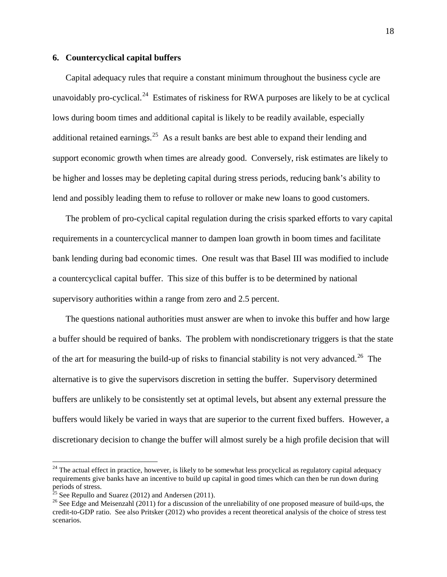#### **6. Countercyclical capital buffers**

Capital adequacy rules that require a constant minimum throughout the business cycle are unavoidably pro-cyclical.<sup>[24](#page-18-0)</sup> Estimates of riskiness for RWA purposes are likely to be at cyclical lows during boom times and additional capital is likely to be readily available, especially additional retained earnings.<sup>25</sup> As a result banks are best able to expand their lending and support economic growth when times are already good. Conversely, risk estimates are likely to be higher and losses may be depleting capital during stress periods, reducing bank's ability to lend and possibly leading them to refuse to rollover or make new loans to good customers.

The problem of pro-cyclical capital regulation during the crisis sparked efforts to vary capital requirements in a countercyclical manner to dampen loan growth in boom times and facilitate bank lending during bad economic times. One result was that Basel III was modified to include a countercyclical capital buffer. This size of this buffer is to be determined by national supervisory authorities within a range from zero and 2.5 percent.

The questions national authorities must answer are when to invoke this buffer and how large a buffer should be required of banks. The problem with nondiscretionary triggers is that the state of the art for measuring the build-up of risks to financial stability is not very advanced.<sup>26</sup> The alternative is to give the supervisors discretion in setting the buffer. Supervisory determined buffers are unlikely to be consistently set at optimal levels, but absent any external pressure the buffers would likely be varied in ways that are superior to the current fixed buffers. However, a discretionary decision to change the buffer will almost surely be a high profile decision that will

<span id="page-18-0"></span> $24$  The actual effect in practice, however, is likely to be somewhat less procyclical as regulatory capital adequacy requirements give banks have an incentive to build up capital in good times which can then be run down during periods of stress.<br><sup>25</sup> See Repullo and Suarez (2012) and Andersen (2011).

<span id="page-18-1"></span>

<span id="page-18-2"></span><sup>&</sup>lt;sup>26</sup> See Edge and Meisenzahl (2011) for a discussion of the unreliability of one proposed measure of build-ups, the credit-to-GDP ratio. See also Pritsker (2012) who provides a recent theoretical analysis of the choice of stress test scenarios.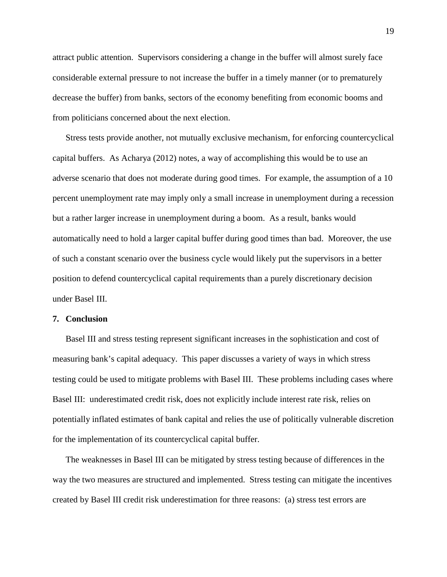attract public attention. Supervisors considering a change in the buffer will almost surely face considerable external pressure to not increase the buffer in a timely manner (or to prematurely decrease the buffer) from banks, sectors of the economy benefiting from economic booms and from politicians concerned about the next election.

Stress tests provide another, not mutually exclusive mechanism, for enforcing countercyclical capital buffers. As Acharya (2012) notes, a way of accomplishing this would be to use an adverse scenario that does not moderate during good times. For example, the assumption of a 10 percent unemployment rate may imply only a small increase in unemployment during a recession but a rather larger increase in unemployment during a boom. As a result, banks would automatically need to hold a larger capital buffer during good times than bad. Moreover, the use of such a constant scenario over the business cycle would likely put the supervisors in a better position to defend countercyclical capital requirements than a purely discretionary decision under Basel III.

#### **7. Conclusion**

Basel III and stress testing represent significant increases in the sophistication and cost of measuring bank's capital adequacy. This paper discusses a variety of ways in which stress testing could be used to mitigate problems with Basel III. These problems including cases where Basel III: underestimated credit risk, does not explicitly include interest rate risk, relies on potentially inflated estimates of bank capital and relies the use of politically vulnerable discretion for the implementation of its countercyclical capital buffer.

The weaknesses in Basel III can be mitigated by stress testing because of differences in the way the two measures are structured and implemented. Stress testing can mitigate the incentives created by Basel III credit risk underestimation for three reasons: (a) stress test errors are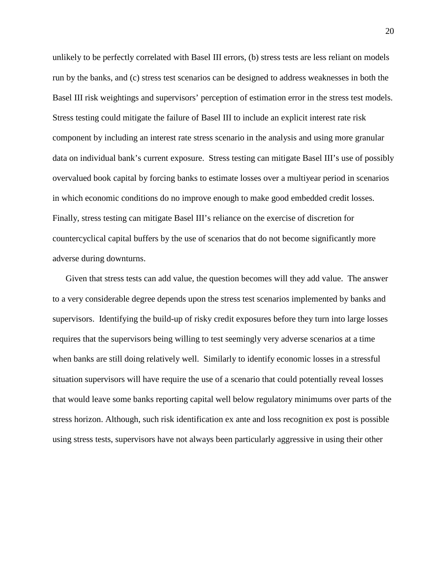unlikely to be perfectly correlated with Basel III errors, (b) stress tests are less reliant on models run by the banks, and (c) stress test scenarios can be designed to address weaknesses in both the Basel III risk weightings and supervisors' perception of estimation error in the stress test models. Stress testing could mitigate the failure of Basel III to include an explicit interest rate risk component by including an interest rate stress scenario in the analysis and using more granular data on individual bank's current exposure. Stress testing can mitigate Basel III's use of possibly overvalued book capital by forcing banks to estimate losses over a multiyear period in scenarios in which economic conditions do no improve enough to make good embedded credit losses. Finally, stress testing can mitigate Basel III's reliance on the exercise of discretion for countercyclical capital buffers by the use of scenarios that do not become significantly more adverse during downturns.

Given that stress tests can add value, the question becomes will they add value. The answer to a very considerable degree depends upon the stress test scenarios implemented by banks and supervisors. Identifying the build-up of risky credit exposures before they turn into large losses requires that the supervisors being willing to test seemingly very adverse scenarios at a time when banks are still doing relatively well. Similarly to identify economic losses in a stressful situation supervisors will have require the use of a scenario that could potentially reveal losses that would leave some banks reporting capital well below regulatory minimums over parts of the stress horizon. Although, such risk identification ex ante and loss recognition ex post is possible using stress tests, supervisors have not always been particularly aggressive in using their other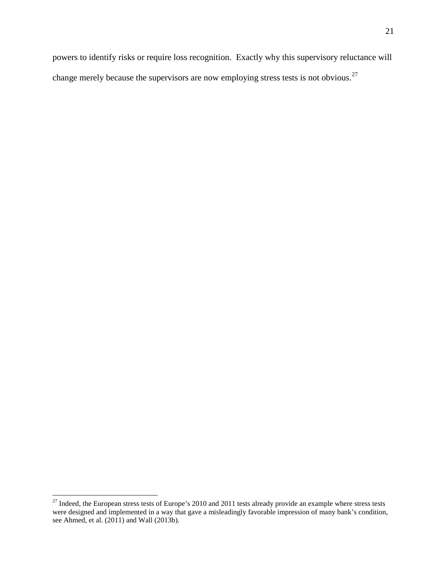powers to identify risks or require loss recognition. Exactly why this supervisory reluctance will change merely because the supervisors are now employing stress tests is not obvious.<sup>[27](#page-21-0)</sup>

<span id="page-21-0"></span> $27$  Indeed, the European stress tests of Europe's 2010 and 2011 tests already provide an example where stress tests were designed and implemented in a way that gave a misleadingly favorable impression of many bank's condition, see Ahmed, et al. (2011) and Wall (2013b).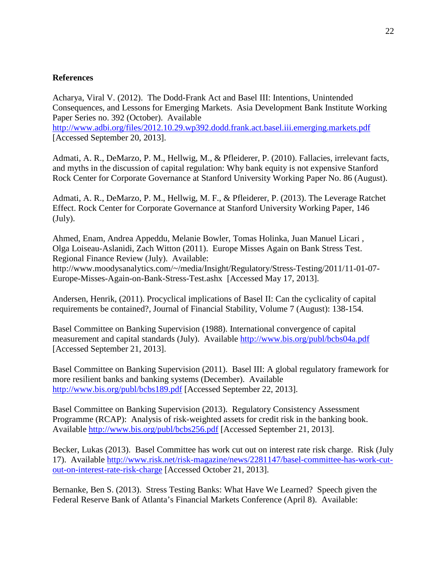# **References**

Acharya, Viral V. (2012). The Dodd-Frank Act and Basel III: Intentions, Unintended Consequences, and Lessons for Emerging Markets. Asia Development Bank Institute Working Paper Series no. 392 (October). Available <http://www.adbi.org/files/2012.10.29.wp392.dodd.frank.act.basel.iii.emerging.markets.pdf> [Accessed September 20, 2013].

Admati, A. R., DeMarzo, P. M., Hellwig, M., & Pfleiderer, P. (2010). Fallacies, irrelevant facts, and myths in the discussion of capital regulation: Why bank equity is not expensive Stanford Rock Center for Corporate Governance at Stanford University Working Paper No. 86 (August).

Admati, A. R., DeMarzo, P. M., Hellwig, M. F., & Pfleiderer, P. (2013). The Leverage Ratchet Effect. Rock Center for Corporate Governance at Stanford University Working Paper, 146 (July).

Ahmed, Enam, Andrea Appeddu, Melanie Bowler, Tomas Holinka, Juan Manuel Licari , Olga Loiseau-Aslanidi, Zach Witton (2011). Europe Misses Again on Bank Stress Test. Regional Finance Review (July). Available: http://www.moodysanalytics.com/~/media/Insight/Regulatory/Stress-Testing/2011/11-01-07- Europe-Misses-Again-on-Bank-Stress-Test.ashx [Accessed May 17, 2013].

Andersen, Henrik, (2011). Procyclical implications of Basel II: Can the cyclicality of capital requirements be contained?, Journal of Financial Stability, Volume 7 (August): 138-154.

Basel Committee on Banking Supervision (1988). International convergence of capital measurement and capital standards (July). Available<http://www.bis.org/publ/bcbs04a.pdf> [Accessed September 21, 2013].

Basel Committee on Banking Supervision (2011). Basel III: A global regulatory framework for more resilient banks and banking systems (December). Available <http://www.bis.org/publ/bcbs189.pdf> [Accessed September 22, 2013].

Basel Committee on Banking Supervision (2013). Regulatory Consistency Assessment Programme (RCAP): Analysis of risk-weighted assets for credit risk in the banking book. Available<http://www.bis.org/publ/bcbs256.pdf> [Accessed September 21, 2013].

Becker, Lukas (2013). Basel Committee has work cut out on interest rate risk charge. Risk (July 17). Available [http://www.risk.net/risk-magazine/news/2281147/basel-committee-has-work-cut](http://www.risk.net/risk-magazine/news/2281147/basel-committee-has-work-cut-out-on-interest-rate-risk-charge)[out-on-interest-rate-risk-charge](http://www.risk.net/risk-magazine/news/2281147/basel-committee-has-work-cut-out-on-interest-rate-risk-charge) [Accessed October 21, 2013].

Bernanke, Ben S. (2013). Stress Testing Banks: What Have We Learned? Speech given the Federal Reserve Bank of Atlanta's Financial Markets Conference (April 8). Available: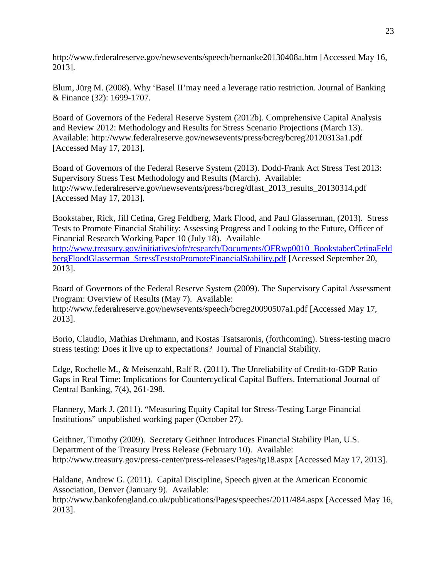http://www.federalreserve.gov/newsevents/speech/bernanke20130408a.htm [Accessed May 16, 2013].

Blum, Jürg M. (2008). Why 'Basel II'may need a leverage ratio restriction. Journal of Banking & Finance (32): 1699-1707.

Board of Governors of the Federal Reserve System (2012b). Comprehensive Capital Analysis and Review 2012: Methodology and Results for Stress Scenario Projections (March 13). Available: http://www.federalreserve.gov/newsevents/press/bcreg/bcreg20120313a1.pdf [Accessed May 17, 2013].

Board of Governors of the Federal Reserve System (2013). Dodd-Frank Act Stress Test 2013: Supervisory Stress Test Methodology and Results (March). Available: http://www.federalreserve.gov/newsevents/press/bcreg/dfast\_2013\_results\_20130314.pdf [Accessed May 17, 2013].

Bookstaber, Rick, Jill Cetina, Greg Feldberg, Mark Flood, and Paul Glasserman, (2013). Stress Tests to Promote Financial Stability: Assessing Progress and Looking to the Future, Officer of Financial Research Working Paper 10 (July 18). Available [http://www.treasury.gov/initiatives/ofr/research/Documents/OFRwp0010\\_BookstaberCetinaFeld](http://www.treasury.gov/initiatives/ofr/research/Documents/OFRwp0010_BookstaberCetinaFeldbergFloodGlasserman_StressTeststoPromoteFinancialStability.pdf) [bergFloodGlasserman\\_StressTeststoPromoteFinancialStability.pdf](http://www.treasury.gov/initiatives/ofr/research/Documents/OFRwp0010_BookstaberCetinaFeldbergFloodGlasserman_StressTeststoPromoteFinancialStability.pdf) [Accessed September 20, 2013].

Board of Governors of the Federal Reserve System (2009). The Supervisory Capital Assessment Program: Overview of Results (May 7). Available: http://www.federalreserve.gov/newsevents/speech/bcreg20090507a1.pdf [Accessed May 17, 2013].

Borio, Claudio, Mathias Drehmann, and Kostas Tsatsaronis, (forthcoming). Stress-testing macro stress testing: Does it live up to expectations? Journal of Financial Stability.

Edge, Rochelle M., & Meisenzahl, Ralf R. (2011). The Unreliability of Credit-to-GDP Ratio Gaps in Real Time: Implications for Countercyclical Capital Buffers. International Journal of Central Banking, 7(4), 261-298.

Flannery, Mark J. (2011). "Measuring Equity Capital for Stress-Testing Large Financial Institutions" unpublished working paper (October 27).

Geithner, Timothy (2009). Secretary Geithner Introduces Financial Stability Plan, U.S. Department of the Treasury Press Release (February 10). Available: http://www.treasury.gov/press-center/press-releases/Pages/tg18.aspx [Accessed May 17, 2013].

Haldane, Andrew G. (2011). Capital Discipline, Speech given at the American Economic Association, Denver (January 9). Available: http://www.bankofengland.co.uk/publications/Pages/speeches/2011/484.aspx [Accessed May 16, 2013].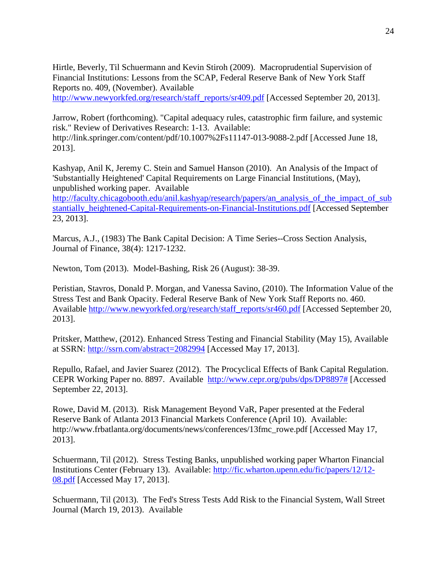Hirtle, Beverly, Til Schuermann and Kevin Stiroh (2009). Macroprudential Supervision of Financial Institutions: Lessons from the SCAP, Federal Reserve Bank of New York Staff Reports no. 409, (November). Available

[http://www.newyorkfed.org/research/staff\\_reports/sr409.pdf](http://www.newyorkfed.org/research/staff_reports/sr409.pdf) [Accessed September 20, 2013].

Jarrow, Robert (forthcoming). "Capital adequacy rules, catastrophic firm failure, and systemic risk." Review of Derivatives Research: 1-13. Available: http://link.springer.com/content/pdf/10.1007%2Fs11147-013-9088-2.pdf [Accessed June 18, 2013].

Kashyap, Anil K, Jeremy C. Stein and Samuel Hanson (2010). An Analysis of the Impact of 'Substantially Heightened' Capital Requirements on Large Financial Institutions, (May), unpublished working paper. Available

[http://faculty.chicagobooth.edu/anil.kashyap/research/papers/an\\_analysis\\_of\\_the\\_impact\\_of\\_sub](http://faculty.chicagobooth.edu/anil.kashyap/research/papers/an_analysis_of_the_impact_of_substantially_heightened-Capital-Requirements-on-Financial-Institutions.pdf) [stantially\\_heightened-Capital-Requirements-on-Financial-Institutions.pdf](http://faculty.chicagobooth.edu/anil.kashyap/research/papers/an_analysis_of_the_impact_of_substantially_heightened-Capital-Requirements-on-Financial-Institutions.pdf) [Accessed September 23, 2013].

Marcus, A.J., (1983) The Bank Capital Decision: A Time Series--Cross Section Analysis, Journal of Finance, 38(4): 1217-1232.

Newton, Tom (2013). Model-Bashing, Risk 26 (August): 38-39.

Peristian, Stavros, Donald P. Morgan, and Vanessa Savino, (2010). The Information Value of the Stress Test and Bank Opacity. Federal Reserve Bank of New York Staff Reports no. 460. Available [http://www.newyorkfed.org/research/staff\\_reports/sr460.pdf](http://www.newyorkfed.org/research/staff_reports/sr460.pdf) [Accessed September 20, 2013].

Pritsker, Matthew, (2012). Enhanced Stress Testing and Financial Stability (May 15), Available at SSRN:<http://ssrn.com/abstract=2082994> [Accessed May 17, 2013].

Repullo, Rafael, and Javier Suarez (2012). The Procyclical Effects of Bank Capital Regulation. CEPR Working Paper no. 8897. Available [http://www.cepr.org/pubs/dps/DP8897#](http://www.cepr.org/pubs/dps/DP8897) [Accessed September 22, 2013].

Rowe, David M. (2013). Risk Management Beyond VaR, Paper presented at the Federal Reserve Bank of Atlanta 2013 Financial Markets Conference (April 10). Available: http://www.frbatlanta.org/documents/news/conferences/13fmc\_rowe.pdf [Accessed May 17, 2013].

Schuermann, Til (2012). Stress Testing Banks, unpublished working paper Wharton Financial Institutions Center (February 13). Available: [http://fic.wharton.upenn.edu/fic/papers/12/12-](http://fic.wharton.upenn.edu/fic/papers/12/12-08.pdf) [08.pdf](http://fic.wharton.upenn.edu/fic/papers/12/12-08.pdf) [Accessed May 17, 2013].

Schuermann, Til (2013). The Fed's Stress Tests Add Risk to the Financial System, Wall Street Journal (March 19, 2013). Available